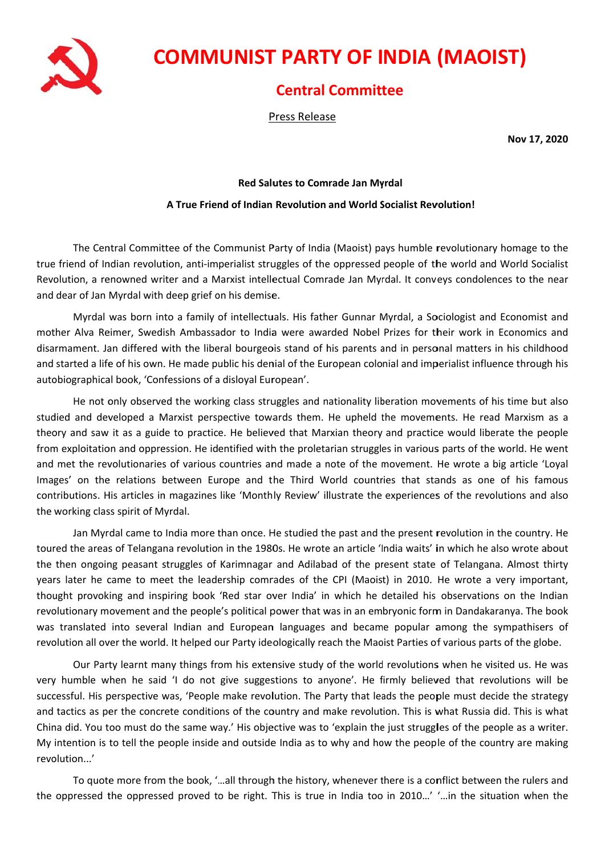

## **COMMUNIST PARTY OF INDIA (MAOIST)**

## **Central Committee**

Press Release

Nov 17, 2020

## **Red Salutes to Comrade Jan Myrdal**

## A True Friend of Indian Revolution and World Socialist Revolution!

The Central Committee of the Communist Party of India (Maoist) pays humble revolutionary homage to the true friend of Indian revolution, anti-imperialist struggles of the oppressed people of the world and World Socialist Revolution, a renowned writer and a Marxist intellectual Comrade Jan Myrdal. It conveys condolences to the near and dear of Jan Myrdal with deep grief on his demise.

Myrdal was born into a family of intellectuals. His father Gunnar Myrdal, a Sociologist and Economist and mother Alva Reimer, Swedish Ambassador to India were awarded Nobel Prizes for their work in Economics and disarmament. Jan differed with the liberal bourgeois stand of his parents and in personal matters in his childhood and started a life of his own. He made public his denial of the European colonial and imperialist influence through his autobiographical book, 'Confessions of a disloyal European'.

He not only observed the working class struggles and nationality liberation movements of his time but also studied and developed a Marxist perspective towards them. He upheld the movements. He read Marxism as a theory and saw it as a guide to practice. He believed that Marxian theory and practice would liberate the people from exploitation and oppression. He identified with the proletarian struggles in various parts of the world. He went and met the revolutionaries of various countries and made a note of the movement. He wrote a big article 'Loval Images' on the relations between Europe and the Third World countries that stands as one of his famous contributions. His articles in magazines like 'Monthly Review' illustrate the experiences of the revolutions and also the working class spirit of Myrdal.

Jan Myrdal came to India more than once. He studied the past and the present revolution in the country. He toured the areas of Telangana revolution in the 1980s. He wrote an article 'India waits' in which he also wrote about the then ongoing peasant struggles of Karimnagar and Adilabad of the present state of Telangana. Almost thirty years later he came to meet the leadership comrades of the CPI (Maoist) in 2010. He wrote a very important, thought provoking and inspiring book 'Red star over India' in which he detailed his observations on the Indian revolutionary movement and the people's political power that was in an embryonic form in Dandakaranya. The book was translated into several Indian and European languages and became popular among the sympathisers of revolution all over the world. It helped our Party ideologically reach the Maoist Parties of various parts of the globe.

Our Party learnt many things from his extensive study of the world revolutions when he visited us. He was very humble when he said 'I do not give suggestions to anyone'. He firmly believed that revolutions will be successful. His perspective was, 'People make revolution. The Party that leads the people must decide the strategy and tactics as per the concrete conditions of the country and make revolution. This is what Russia did. This is what China did. You too must do the same way.' His objective was to 'explain the just struggles of the people as a writer. My intention is to tell the people inside and outside India as to why and how the people of the country are making revolution...'

To quote more from the book, '...all through the history, whenever there is a conflict between the rulers and the oppressed the oppressed proved to be right. This is true in India too in 2010...' '...in the situation when the